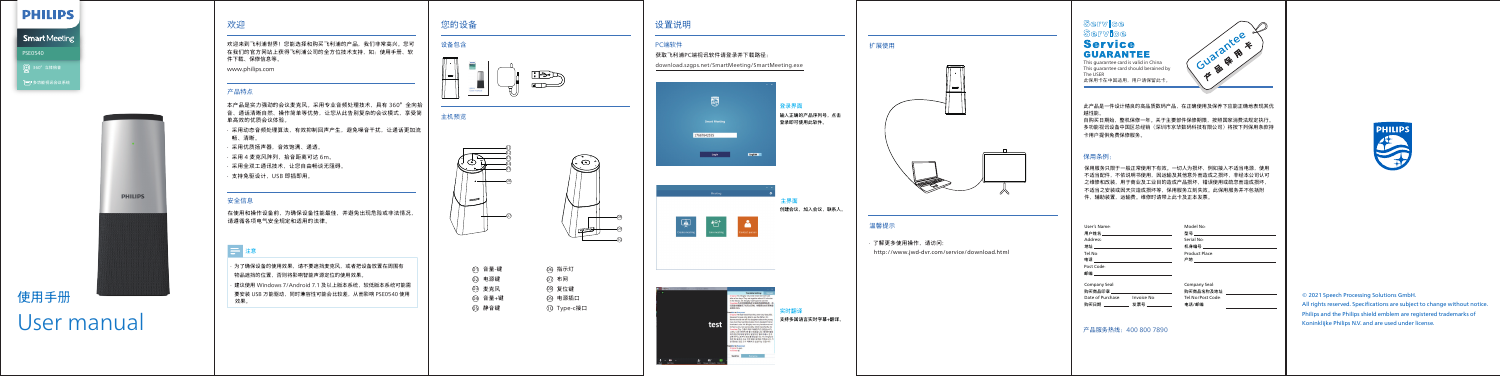## 欢迎

#### 产品特点

欢迎来到飞利浦世界!您能选择和购买飞利浦的产品,我们非常高兴。您可 在我们的官方网站上获得飞利浦公司的全方位技术支持,如:使用手册、软 件下载、保修信息等。 www.philips.com

本产品是实力强劲的会议麦克风。采用专业音频处理技术,具有 360°全向拾 音、通话清晰自然、操作简单等优势,让您从此告别复杂的会议模式,享受简 单高效的优质会议体验。

- · 采用动态音频处理算法,有效抑制回声产生,避免噪音干扰,让通话更加流 畅、清晰。
- · 采用优质扬声器,音效饱满、通透。
- 采用 4 麦克风阵列, 拾音距离可达 6m。
- · 采用全双工通讯技术,让您自由畅谈无阻碍。 · 支持免驱设计,USB 即插即用。

# 使用手册 User manual

## 您的设备

## 设备包含



## 设置说明

## 主机预览

| ① 音量-键  | 66 指示灯         |
|---------|----------------|
| Q2 电源键  | 67 布网          |
| ◎ 麦克风   | 08 复位键         |
| 04 音量+键 | <b>Q9 电源插口</b> |
| ① 静音键   | 10 Type-c接口    |
|         |                |

## 温馨提示

· 了解更多使用操作,请访问:

http://www.jwd-dvr.com/service/download.html

## Service Service **Service GUARANTEE**

· 为了确保设备的使用效果,请不要遮挡麦克风,或者把设备放置在周围有 物品遮挡的位置,否则将影响智能声源定位的使用效果。 · 建议使用 Windows 7/Android 7.1 及以上版本系统,较低版本系统可能需 要安装 USB 万能驱动,同时兼容性可能会比较差,从而影响 PSE0540 使用 效果。

## **PHILIPS**

## **Smart** Meeting PSE0540 360°立体拾音

□■多功能视讯会议系统



## 安全信息

在使用和操作设备前,为确保设备性能最佳,并避免出现危险或非法情况, 请遵循各项电气安全规定和适用的法律。

## 三注意

此产品是一件设计精良的高品质数码产品,在正确使用及保养下应能正确地表现其优 越性能。

> All rights reserved. Specifications are subject to change without notice. Philips and the Philips shield emblem are registered trademarks of Koninklijke Philips N.V. and are used under license.

This guarantee card is valid in China This guarantee card is valid in either<br>This quarantee card should berained by 此保用卡在中国适用,用户请保留此卡。 The ŬSER



自购买日期始,整机保修一年。关于主要部件保修期限,按照国家消费法规定执行。 多功能视讯设备中国区总经销(深圳市京华数码科技有限公司)将按下列保用条款持 卡用户提供免费保修服务。

保用服务只限于一般正常使用下有效。一切人为损坏,例如接入不适当电源,使用 不适当配件,不依说明书使用,因运输及其他意外而造成之损坏,非经本公司认可 之维修和改装,用于商业及工业目的造成产品损坏,错误使用或疏忽而造成损坏, 不适当之安装或因天灾造成损坏等,保用服务立刻失效。此保用服务并不包括附 件,辅助装置,运输费。维修时请带上此卡及正本发票。

#### 保用条例:

产品服务热线:400 800 7890

User's Name : Model No : 用户姓名 型号 Address : Serial No : 机身编号 地址 Tel .No : Product Place : 电话 产地 Post Code : 邮编 Company Seal : Company Seal : 购买商品印章 购买商品名称及地址 Date of Purchase: Invoice No: Tel .No/Post Code : 电话/邮编 购买日期 发票号 





09 10

## 扩展使用



© 2021 Speech Processing Solutions GmbH.

## PC端软件

获取飞利浦PC端视讯软件请登录并下载路径:

download.szgps.net/SmartMeeting/SmartMeeting.exe